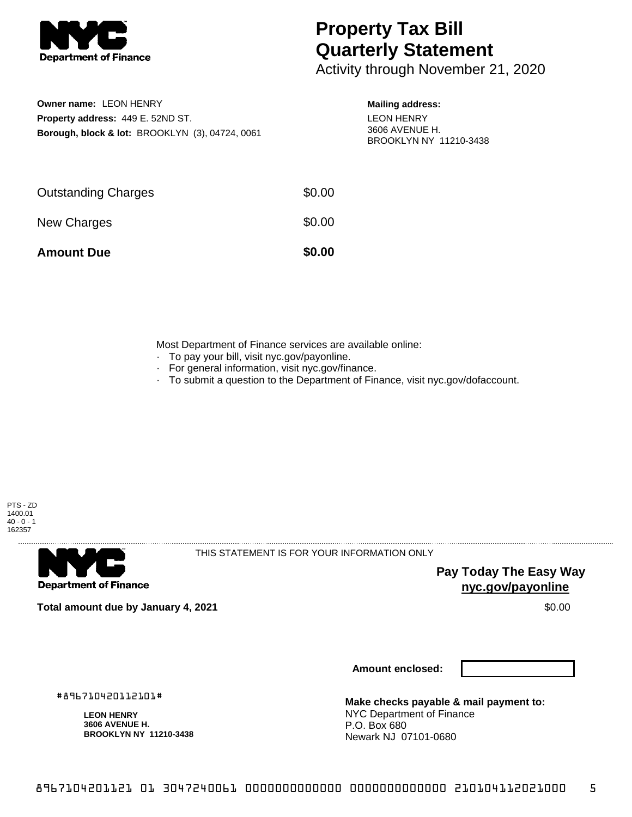

## **Property Tax Bill Quarterly Statement**

Activity through November 21, 2020

| Owner name: LEON HENRY                                     |
|------------------------------------------------------------|
| <b>Property address: 449 E. 52ND ST.</b>                   |
| <b>Borough, block &amp; lot: BROOKLYN (3), 04724, 0061</b> |

## **Mailing address:** LEON HENRY 3606 AVENUE H. BROOKLYN NY 11210-3438

| <b>Amount Due</b>          | \$0.00 |
|----------------------------|--------|
| New Charges                | \$0.00 |
| <b>Outstanding Charges</b> | \$0.00 |

Most Department of Finance services are available online:

- · To pay your bill, visit nyc.gov/payonline.
- For general information, visit nyc.gov/finance.
- · To submit a question to the Department of Finance, visit nyc.gov/dofaccount.



**Department of Finance** 

THIS STATEMENT IS FOR YOUR INFORMATION ONLY

**Pay Today The Easy Way nyc.gov/payonline**

**Total amount due by January 4, 2021** \$0.00

**Amount enclosed:**

#896710420112101#

**LEON HENRY 3606 AVENUE H. BROOKLYN NY 11210-3438**

**Make checks payable & mail payment to:** NYC Department of Finance P.O. Box 680 Newark NJ 07101-0680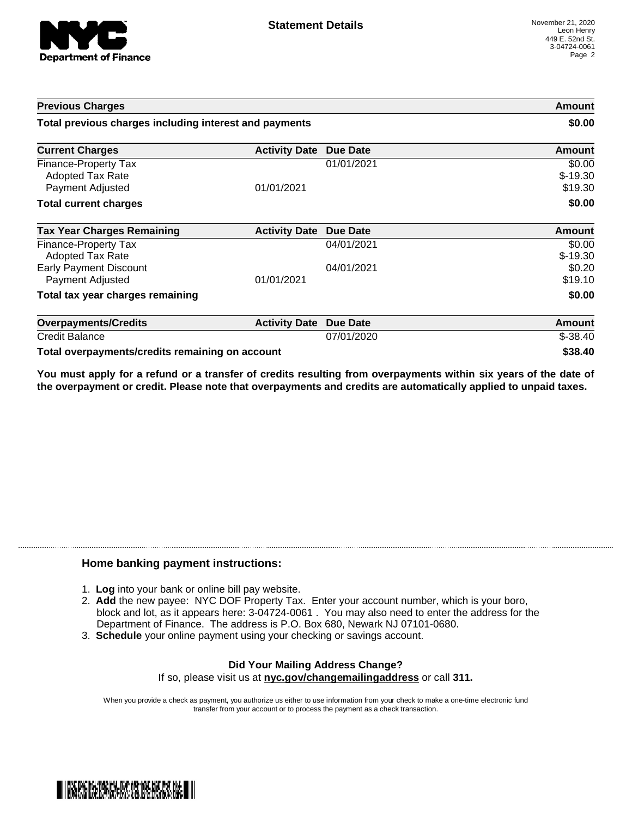

| <b>Previous Charges</b>                                             |                      |                 | Amount                         |
|---------------------------------------------------------------------|----------------------|-----------------|--------------------------------|
| Total previous charges including interest and payments              |                      |                 | \$0.00                         |
| <b>Current Charges</b>                                              | <b>Activity Date</b> | <b>Due Date</b> | Amount                         |
| Finance-Property Tax<br><b>Adopted Tax Rate</b><br>Payment Adjusted | 01/01/2021           | 01/01/2021      | \$0.00<br>$$-19.30$<br>\$19.30 |
| <b>Total current charges</b>                                        |                      |                 | \$0.00                         |
| <b>Tax Year Charges Remaining</b>                                   | <b>Activity Date</b> | <b>Due Date</b> | Amount                         |
| Finance-Property Tax<br><b>Adopted Tax Rate</b>                     |                      | 04/01/2021      | \$0.00<br>$$-19.30$            |
| <b>Early Payment Discount</b><br>Payment Adjusted                   | 01/01/2021           | 04/01/2021      | \$0.20<br>\$19.10              |
| Total tax year charges remaining                                    |                      |                 | \$0.00                         |
| <b>Overpayments/Credits</b>                                         | <b>Activity Date</b> | <b>Due Date</b> | Amount                         |
| <b>Credit Balance</b>                                               |                      | 07/01/2020      | $$ -38.40$                     |
| Total overpayments/credits remaining on account                     |                      |                 | \$38.40                        |

You must apply for a refund or a transfer of credits resulting from overpayments within six years of the date of **the overpayment or credit. Please note that overpayments and credits are automatically applied to unpaid taxes.**

## **Home banking payment instructions:**

- 1. **Log** into your bank or online bill pay website.
- 2. **Add** the new payee: NYC DOF Property Tax. Enter your account number, which is your boro, block and lot, as it appears here: 3-04724-0061 . You may also need to enter the address for the Department of Finance. The address is P.O. Box 680, Newark NJ 07101-0680.
- 3. **Schedule** your online payment using your checking or savings account.

## **Did Your Mailing Address Change?** If so, please visit us at **nyc.gov/changemailingaddress** or call **311.**

When you provide a check as payment, you authorize us either to use information from your check to make a one-time electronic fund transfer from your account or to process the payment as a check transaction.